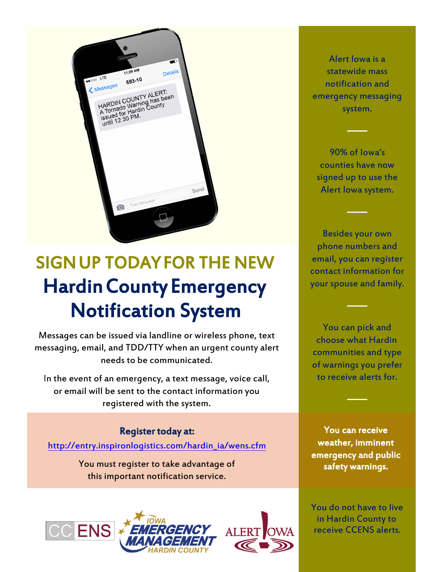

# SIGN UP TODAY FOR THE NEW Hardin County Emergency Notification System

Messages can be issued via landline or wireless phone, text messaging, email, and TDD/TTY when an urgent county alert needs to be communicated.

In the event of an emergency, a text message, voice call, or email will be sent to the contact information you registered with the system.

# Register today at:

[http://entry.inspironlogistics.com/](http://entry.inspironlogistics.com/hardin_ia/wens.cfm)hardin\_ia/wens.cfm

You must register to take advantage of this important notification service.





Alert Iowa is a statewide mass notification and emergency messaging system.

 90% of Iowa's counties have now signed up to use the Alert Iowa system.

Besides your own phone numbers and email, you can register contact information for your spouse and family.

You can pick and choose what Hardin communities and type of warnings you prefer to receive alerts for.

You can receive weather, imminent emergency and public safety warnings.

You do not have to live in Hardin County to receive CCENS alerts.